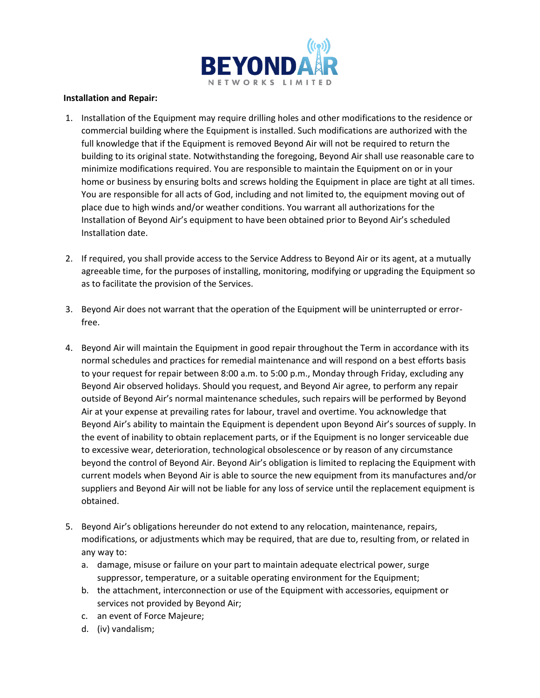

## **Installation and Repair:**

- 1. Installation of the Equipment may require drilling holes and other modifications to the residence or commercial building where the Equipment is installed. Such modifications are authorized with the full knowledge that if the Equipment is removed Beyond Air will not be required to return the building to its original state. Notwithstanding the foregoing, Beyond Air shall use reasonable care to minimize modifications required. You are responsible to maintain the Equipment on or in your home or business by ensuring bolts and screws holding the Equipment in place are tight at all times. You are responsible for all acts of God, including and not limited to, the equipment moving out of place due to high winds and/or weather conditions. You warrant all authorizations for the Installation of Beyond Air's equipment to have been obtained prior to Beyond Air's scheduled Installation date.
- 2. If required, you shall provide access to the Service Address to Beyond Air or its agent, at a mutually agreeable time, for the purposes of installing, monitoring, modifying or upgrading the Equipment so as to facilitate the provision of the Services.
- 3. Beyond Air does not warrant that the operation of the Equipment will be uninterrupted or errorfree.
- 4. Beyond Air will maintain the Equipment in good repair throughout the Term in accordance with its normal schedules and practices for remedial maintenance and will respond on a best efforts basis to your request for repair between 8:00 a.m. to 5:00 p.m., Monday through Friday, excluding any Beyond Air observed holidays. Should you request, and Beyond Air agree, to perform any repair outside of Beyond Air's normal maintenance schedules, such repairs will be performed by Beyond Air at your expense at prevailing rates for labour, travel and overtime. You acknowledge that Beyond Air's ability to maintain the Equipment is dependent upon Beyond Air's sources of supply. In the event of inability to obtain replacement parts, or if the Equipment is no longer serviceable due to excessive wear, deterioration, technological obsolescence or by reason of any circumstance beyond the control of Beyond Air. Beyond Air's obligation is limited to replacing the Equipment with current models when Beyond Air is able to source the new equipment from its manufactures and/or suppliers and Beyond Air will not be liable for any loss of service until the replacement equipment is obtained.
- 5. Beyond Air's obligations hereunder do not extend to any relocation, maintenance, repairs, modifications, or adjustments which may be required, that are due to, resulting from, or related in any way to:
	- a. damage, misuse or failure on your part to maintain adequate electrical power, surge suppressor, temperature, or a suitable operating environment for the Equipment;
	- b. the attachment, interconnection or use of the Equipment with accessories, equipment or services not provided by Beyond Air;
	- c. an event of Force Majeure;
	- d. (iv) vandalism;